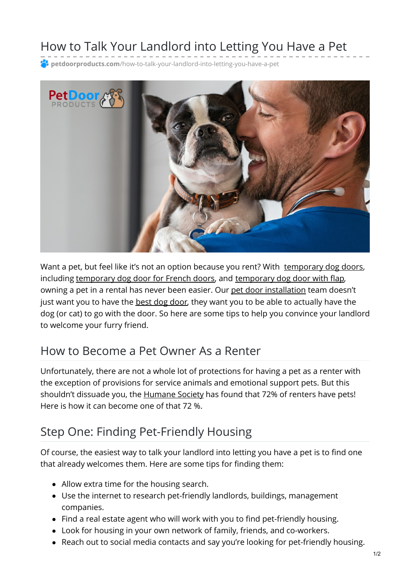# How to Talk Your Landlord into Letting You Have a Pet

**<sup>2</sup> petdoorproducts.com**[/how-to-talk-your-landlord-into-letting-you-have-a-pet](https://petdoorproducts.com/how-to-talk-your-landlord-into-letting-you-have-a-pet/)



Want a pet, but feel like it's not an option because you rent? With [temporary](https://petdoorproducts.com/shop/) dog doors, including [temporary](https://petdoorproducts.com/product/sliding-glass-dog-door/) dog door for French doors, and temporary dog door with flap, owning a pet in a rental has never been easier. Our pet door [installation](https://petdoorproducts.com/professional-pet-door-installer-in-utah/) team doesn't just want you to have the **best dog [door](https://petdoorproducts.com/sliding-glass-pet-door-options/)**, they want you to be able to actually have the dog (or cat) to go with the door. So here are some tips to help you convince your landlord to welcome your furry friend.

### How to Become a Pet Owner As a Renter

Unfortunately, there are not a whole lot of protections for having a pet as a renter with the exception of provisions for service animals and emotional support pets. But this shouldn't dissuade you, the [Humane](https://www.humanesociety.org/resources/increasing-housing-options-renters-pets) Society has found that 72% of renters have pets! Here is how it can become one of that 72 %.

### Step One: Finding Pet-Friendly Housing

Of course, the easiest way to talk your landlord into letting you have a pet is to find one that already welcomes them. Here are some tips for finding them:

- Allow extra time for the housing search.
- Use the internet to research pet-friendly landlords, buildings, management companies.
- Find a real estate agent who will work with you to find pet-friendly housing.
- Look for housing in your own network of family, friends, and co-workers.
- Reach out to social media contacts and say you're looking for pet-friendly housing.